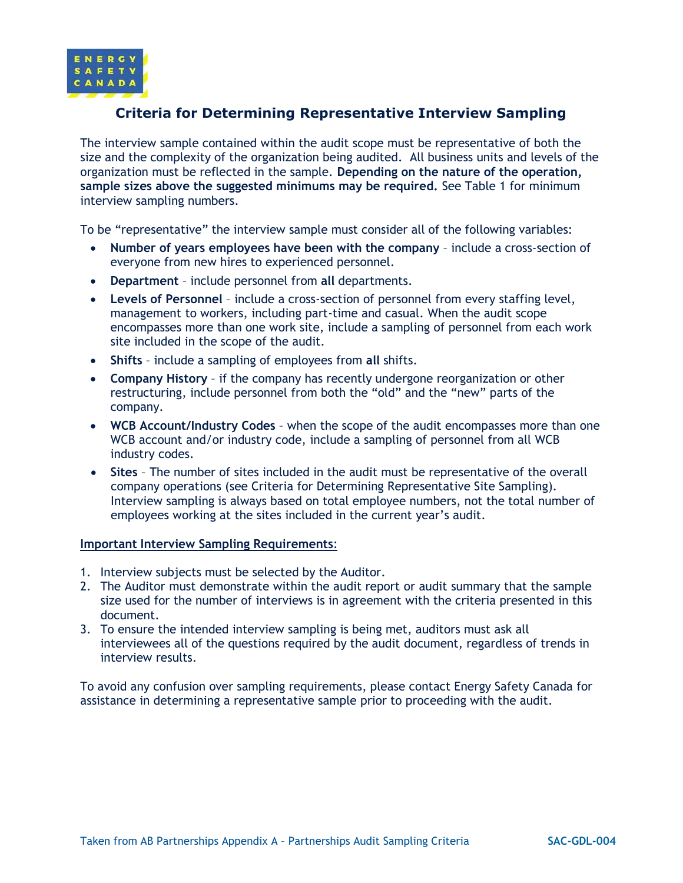

## **Criteria for Determining Representative Interview Sampling**

The interview sample contained within the audit scope must be representative of both the size and the complexity of the organization being audited. All business units and levels of the organization must be reflected in the sample. **Depending on the nature of the operation, sample sizes above the suggested minimums may be required.** See Table 1 for minimum interview sampling numbers.

To be "representative" the interview sample must consider all of the following variables:

- **Number of years employees have been with the company**  include a cross-section of everyone from new hires to experienced personnel.
- **Department** include personnel from **all** departments.
- **Levels of Personnel**  include a cross-section of personnel from every staffing level, management to workers, including part-time and casual. When the audit scope encompasses more than one work site, include a sampling of personnel from each work site included in the scope of the audit.
- **Shifts** include a sampling of employees from **all** shifts.
- **Company History** if the company has recently undergone reorganization or other restructuring, include personnel from both the "old" and the "new" parts of the company.
- **WCB Account/Industry Codes** when the scope of the audit encompasses more than one WCB account and/or industry code, include a sampling of personnel from all WCB industry codes.
- **Sites**  The number of sites included in the audit must be representative of the overall company operations (see Criteria for Determining Representative Site Sampling). Interview sampling is always based on total employee numbers, not the total number of employees working at the sites included in the current year's audit.

## **Important Interview Sampling Requirements**:

- 1. Interview subjects must be selected by the Auditor.
- 2. The Auditor must demonstrate within the audit report or audit summary that the sample size used for the number of interviews is in agreement with the criteria presented in this document.
- 3. To ensure the intended interview sampling is being met, auditors must ask all interviewees all of the questions required by the audit document, regardless of trends in interview results.

To avoid any confusion over sampling requirements, please contact Energy Safety Canada for assistance in determining a representative sample prior to proceeding with the audit.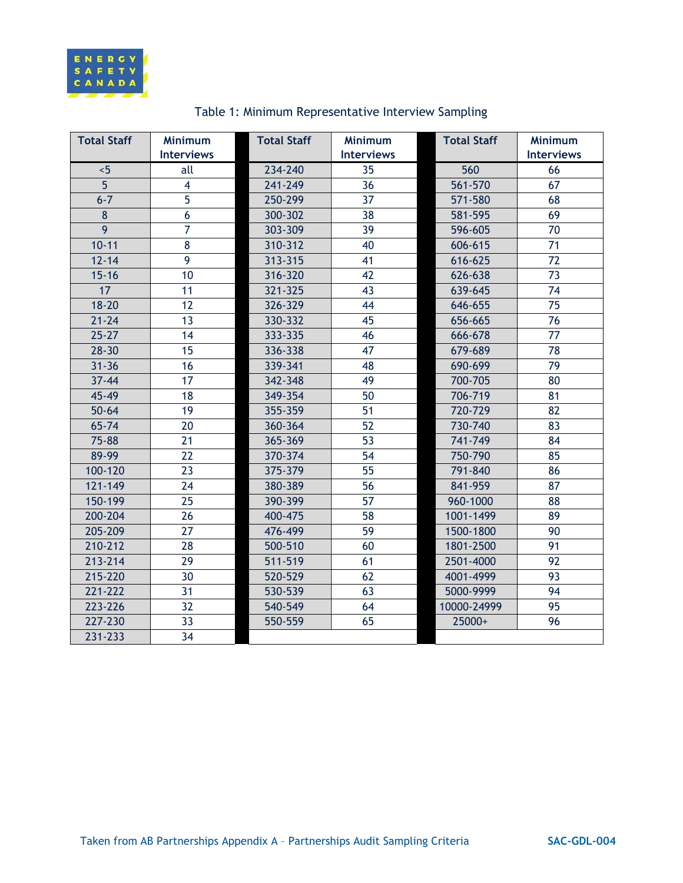

| <b>Total Staff</b> | <b>Minimum</b>    | <b>Total Staff</b> | <b>Minimum</b>    | <b>Total Staff</b> | <b>Minimum</b>    |
|--------------------|-------------------|--------------------|-------------------|--------------------|-------------------|
|                    | <b>Interviews</b> |                    | <b>Interviews</b> |                    | <b>Interviews</b> |
| < 5                | all               | 234-240            | 35                | 560                | 66                |
| 5 <sup>5</sup>     | $\overline{4}$    | 241-249            | 36                | 561-570            | 67                |
| $6 - 7$            | 5                 | 250-299            | 37                | 571-580            | 68                |
| 8                  | 6                 | 300-302            | 38                | 581-595            | 69                |
| 9                  | $\overline{7}$    | 303-309            | 39                | 596-605            | 70                |
| $10 - 11$          | 8                 | 310-312            | 40                | 606-615            | 71                |
| $12 - 14$          | 9                 | 313-315            | 41                | 616-625            | 72                |
| $15 - 16$          | 10                | 316-320            | 42                | 626-638            | 73                |
| 17                 | 11                | 321-325            | 43                | 639-645            | 74                |
| $18 - 20$          | 12                | 326-329            | 44                | 646-655            | 75                |
| $21 - 24$          | 13                | 330-332            | 45                | 656-665            | 76                |
| $25 - 27$          | 14                | 333-335            | 46                | 666-678            | 77                |
| $28 - 30$          | 15                | 336-338            | 47                | 679-689            | 78                |
| $31 - 36$          | 16                | 339-341            | 48                | 690-699            | 79                |
| $37 - 44$          | 17                | 342-348            | 49                | 700-705            | 80                |
| 45-49              | 18                | 349-354            | 50                | 706-719            | 81                |
| $50 - 64$          | 19                | 355-359            | 51                | 720-729            | 82                |
| $65 - 74$          | 20                | 360-364            | 52                | 730-740            | 83                |
| 75-88              | 21                | 365-369            | 53                | 741-749            | 84                |
| 89-99              | 22                | 370-374            | 54                | 750-790            | 85                |
| 100-120            | 23                | 375-379            | 55                | 791-840            | 86                |
| 121-149            | 24                | 380-389            | 56                | 841-959            | 87                |
| 150-199            | 25                | 390-399            | 57                | 960-1000           | 88                |
| 200-204            | 26                | 400-475            | 58                | 1001-1499          | 89                |
| 205-209            | 27                | 476-499            | 59                | 1500-1800          | 90                |
| 210-212            | 28                | 500-510            | 60                | 1801-2500          | 91                |
| 213-214            | 29                | 511-519            | 61                | 2501-4000          | 92                |
| 215-220            | 30                | 520-529            | 62                | 4001-4999          | 93                |
| 221-222            | 31                | 530-539            | 63                | 5000-9999          | 94                |
| 223-226            | 32                | 540-549            | 64                | 10000-24999        | 95                |
| 227-230            | 33                | 550-559            | 65                | 25000+             | 96                |
| 231-233            | 34                |                    |                   |                    |                   |

## Table 1: Minimum Representative Interview Sampling